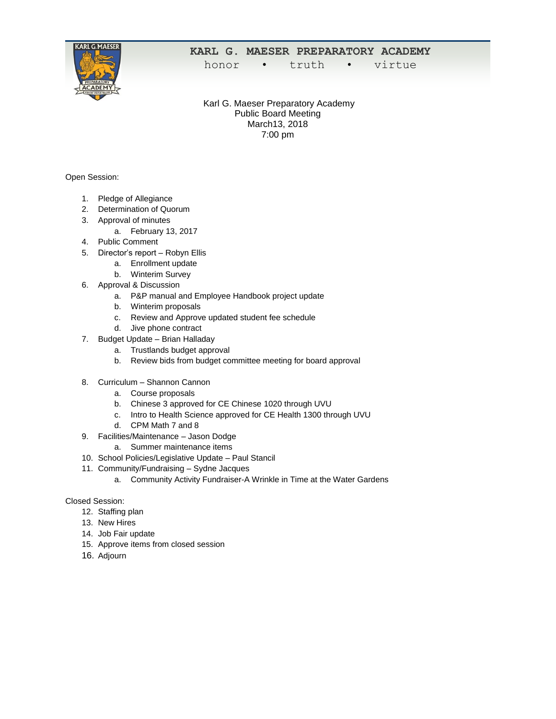

## **KARL G. MAESER PREPARATORY ACADEMY**

honor • truth • virtue

Karl G. Maeser Preparatory Academy Public Board Meeting March13, 2018 7:00 pm

Open Session:

- 1. Pledge of Allegiance
- 2. Determination of Quorum
- 3. Approval of minutes
	- a. February 13, 2017
- 4. Public Comment
- 5. Director's report Robyn Ellis
	- a. Enrollment update
	- b. Winterim Survey
- 6. Approval & Discussion
	- a. P&P manual and Employee Handbook project update
	- b. Winterim proposals
	- c. Review and Approve updated student fee schedule
	- d. Jive phone contract
- 7. Budget Update Brian Halladay
	- a. Trustlands budget approval
	- b. Review bids from budget committee meeting for board approval
- 8. Curriculum Shannon Cannon
	- a. Course proposals
	- b. Chinese 3 approved for CE Chinese 1020 through UVU
	- c. Intro to Health Science approved for CE Health 1300 through UVU
	- d. CPM Math 7 and 8
- 9. Facilities/Maintenance Jason Dodge
	- a. Summer maintenance items
- 10. School Policies/Legislative Update Paul Stancil
- 11. Community/Fundraising Sydne Jacques
	- a. Community Activity Fundraiser-A Wrinkle in Time at the Water Gardens

## Closed Session:

- 12. Staffing plan
- 13. New Hires
- 14. Job Fair update
- 15. Approve items from closed session
- 16. Adjourn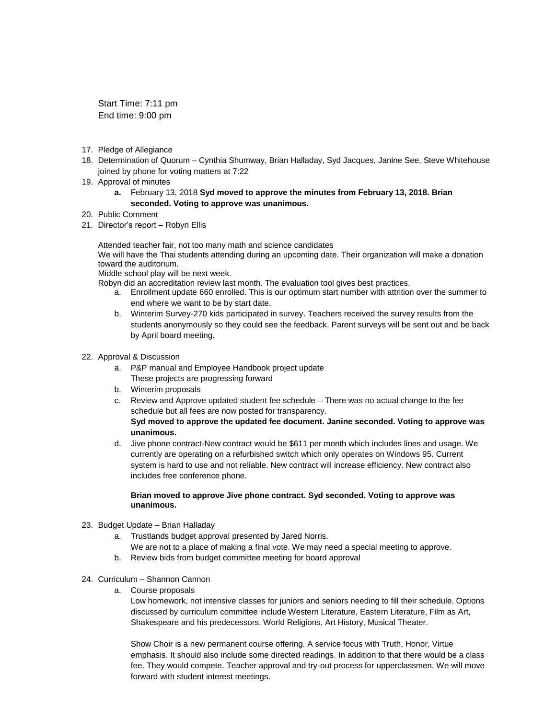Start Time: 7:11 pm End time: 9:00 pm

- 17. Pledge of Allegiance
- 18. Determination of Quorum Cynthia Shumway, Brian Halladay, Syd Jacques, Janine See, Steve Whitehouse joined by phone for voting matters at 7:22
- 19. Approval of minutes
	- **a.** February 13, 2018 **Syd moved to approve the minutes from February 13, 2018. Brian seconded. Voting to approve was unanimous.**
- 20. Public Comment
- 21. Director's report Robyn Ellis

Attended teacher fair, not too many math and science candidates We will have the Thai students attending during an upcoming date. Their organization will make a donation toward the auditorium.

Middle school play will be next week.

Robyn did an accreditation review last month. The evaluation tool gives best practices.

- a. Enrollment update 660 enrolled. This is our optimum start number with attrition over the summer to end where we want to be by start date.
- b. Winterim Survey-270 kids participated in survey. Teachers received the survey results from the students anonymously so they could see the feedback. Parent surveys will be sent out and be back by April board meeting.
- 22. Approval & Discussion
	- a. P&P manual and Employee Handbook project update These projects are progressing forward
	- b. Winterim proposals
	- c. Review and Approve updated student fee schedule There was no actual change to the fee schedule but all fees are now posted for transparency. **Syd moved to approve the updated fee document. Janine seconded. Voting to approve was unanimous.**
	- d. Jive phone contract-New contract would be \$611 per month which includes lines and usage. We currently are operating on a refurbished switch which only operates on Windows 95. Current system is hard to use and not reliable. New contract will increase efficiency. New contract also includes free conference phone.

## **Brian moved to approve Jive phone contract. Syd seconded. Voting to approve was unanimous.**

- 23. Budget Update Brian Halladay
	- a. Trustlands budget approval presented by Jared Norris. We are not to a place of making a final vote. We may need a special meeting to approve.
	- b. Review bids from budget committee meeting for board approval
- 24. Curriculum Shannon Cannon
	- a. Course proposals

Low homework, not intensive classes for juniors and seniors needing to fill their schedule. Options discussed by curriculum committee include Western Literature, Eastern Literature, Film as Art, Shakespeare and his predecessors, World Religions, Art History, Musical Theater.

Show Choir is a new permanent course offering. A service focus with Truth, Honor, Virtue emphasis. It should also include some directed readings. In addition to that there would be a class fee. They would compete. Teacher approval and try-out process for upperclassmen. We will move forward with student interest meetings.